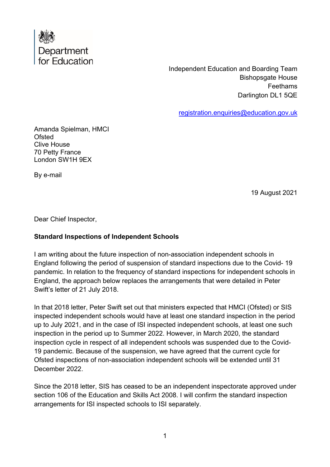

Independent Education and Boarding Team Bishopsgate House **Feethams** Darlington DL1 5QE

[registration.enquiries@education.gov.uk](mailto:registration.enquiries@education.gov.uk)

Amanda Spielman, HMCI **Ofsted** Clive House 70 Petty France London SW1H 9EX

By e-mail

19 August 2021

Dear Chief Inspector,

## **Standard Inspections of Independent Schools**

I am writing about the future inspection of non-association independent schools in England following the period of suspension of standard inspections due to the Covid- 19 pandemic. In relation to the frequency of standard inspections for independent schools in England, the approach below replaces the arrangements that were detailed in Peter Swift's letter of 21 July 2018.

In that 2018 letter, Peter Swift set out that ministers expected that HMCI (Ofsted) or SIS inspected independent schools would have at least one standard inspection in the period up to July 2021, and in the case of ISI inspected independent schools, at least one such inspection in the period up to Summer 2022. However, in March 2020, the standard inspection cycle in respect of all independent schools was suspended due to the Covid-19 pandemic. Because of the suspension, we have agreed that the current cycle for Ofsted inspections of non-association independent schools will be extended until 31 December 2022.

Since the 2018 letter, SIS has ceased to be an independent inspectorate approved under section 106 of the Education and Skills Act 2008. I will confirm the standard inspection arrangements for ISI inspected schools to ISI separately.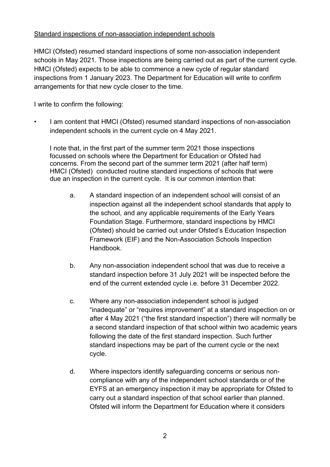## Standard inspections of non-association independent schools

HMCI (Ofsted) resumed standard inspections of some non-association independent schools in May 2021. Those inspections are being carried out as part of the current cycle. HMCI (Ofsted) expects to be able to commence a new cycle of regular standard inspections from 1 January 2023. The Department for Education will write to confirm arrangements for that new cycle closer to the time.

I write to confirm the following:

• I am content that HMCI (Ofsted) resumed standard inspections of non-association independent schools in the current cycle on 4 May 2021.

I note that, in the first part of the summer term 2021 those inspections focussed on schools where the Department for Education or Ofsted had concerns. From the second part of the summer term 2021 (after half term) HMCI (Ofsted) conducted routine standard inspections of schools that were due an inspection in the current cycle. It is our common intention that:

- a. A standard inspection of an independent school will consist of an inspection against all the independent school standards that apply to the school, and any applicable requirements of the Early Years Foundation Stage. Furthermore, standard inspections by HMCI (Ofsted) should be carried out under Ofsted's Education Inspection Framework (EIF) and the Non-Association Schools Inspection **Handbook**
- b. Any non-association independent school that was due to receive a standard inspection before 31 July 2021 will be inspected before the end of the current extended cycle i.e. before 31 December 2022.
- c. Where any non-association independent school is judged "inadequate" or "requires improvement" at a standard inspection on or after 4 May 2021 ("the first standard inspection") there will normally be a second standard inspection of that school within two academic years following the date of the first standard inspection. Such further standard inspections may be part of the current cycle or the next cycle.
- d. Where inspectors identify safeguarding concerns or serious noncompliance with any of the independent school standards or of the EYFS at an emergency inspection it may be appropriate for Ofsted to carry out a standard inspection of that school earlier than planned. Ofsted will inform the Department for Education where it considers